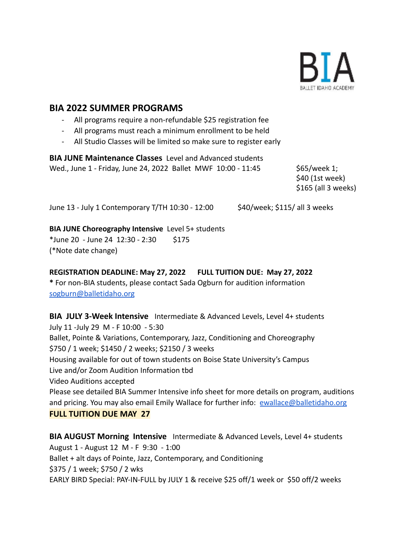

# **BIA 2022 SUMMER PROGRAMS**

- All programs require a non-refundable \$25 registration fee
- All programs must reach a minimum enrollment to be held
- All Studio Classes will be limited so make sure to register early

**BIA JUNE Maintenance Classes** Level and Advanced students Wed., June 1 - Friday, June 24, 2022 Ballet MWF 10:00 - 11:45 \$65/week 1;

\$40 (1st week) \$165 (all 3 weeks)

June 13 - July 1 Contemporary T/TH 10:30 - 12:00 \$40/week; \$115/ all 3 weeks

### **BIA JUNE Choreography Intensive** Level 5+ students

 $*$ June 20 - June 24 12:30 - 2:30 \$175 (\*Note date change)

## **REGISTRATION DEADLINE: May 27, 2022 FULL TUITION DUE: May 27, 2022 \*** For non-BIA students, please contact Sada Ogburn for audition information [sogburn@balletidaho.org](mailto:sogburn@balletidaho.org)

**BIA JULY 3-Week Intensive** Intermediate & Advanced Levels, Level 4+ students July 11 -July 29 M - F 10:00 - 5:30 Ballet, Pointe & Variations, Contemporary, Jazz, Conditioning and Choreography \$750 / 1 week; \$1450 / 2 weeks; \$2150 / 3 weeks Housing available for out of town students on Boise State University's Campus Live and/or Zoom Audition Information tbd Video Auditions accepted Please see detailed BIA Summer Intensive info sheet for more details on program, auditions and pricing. You may also email Emily Wallace for further info: [ewallace@balletidaho.org](mailto:ewallace@balletidaho.org) **FULL TUITION DUE MAY 27**

**BIA AUGUST Morning Intensive** Intermediate & Advanced Levels, Level 4+ students August 1 - August 12 M - F 9:30 - 1:00 Ballet + alt days of Pointe, Jazz, Contemporary, and Conditioning \$375 / 1 week; \$750 / 2 wks EARLY BIRD Special: PAY-IN-FULL by JULY 1 & receive \$25 off/1 week or \$50 off/2 weeks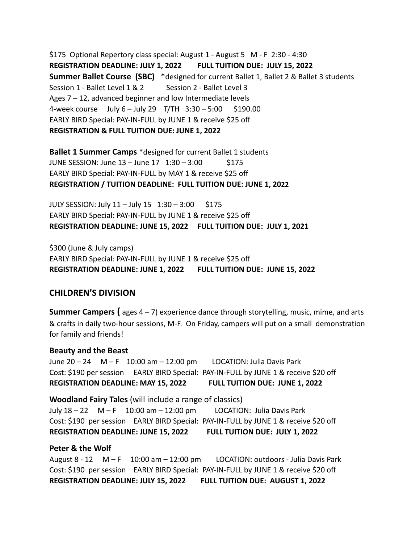\$175 Optional Repertory class special: August 1 - August 5 M - F 2:30 - 4:30 **REGISTRATION DEADLINE: JULY 1, 2022 FULL TUITION DUE: JULY 15, 2022 Summer Ballet Course (SBC)** \*designed for current Ballet 1, Ballet 2 & Ballet 3 students Session 1 - Ballet Level 1 & 2 Session 2 - Ballet Level 3 Ages 7 – 12, advanced beginner and low Intermediate levels 4-week course July 6 – July 29 T/TH 3:30 – 5:00 \$190.00 EARLY BIRD Special: PAY-IN-FULL by JUNE 1 & receive \$25 off **REGISTRATION & FULL TUITION DUE: JUNE 1, 2022**

**Ballet 1 Summer Camps** \*designed for current Ballet 1 students JUNE SESSION: June  $13 -$  June  $17 \quad 1:30 - 3:00$  \$175 EARLY BIRD Special: PAY-IN-FULL by MAY 1 & receive \$25 off **REGISTRATION / TUITION DEADLINE: FULL TUITION DUE: JUNE 1, 2022**

JULY SESSION: July  $11 -$  July  $15 \quad 1:30 - 3:00 \quad 5175$ EARLY BIRD Special: PAY-IN-FULL by JUNE 1 & receive \$25 off **REGISTRATION DEADLINE: JUNE 15, 2022 FULL TUITION DUE: JULY 1, 2021**

\$300 (June & July camps) EARLY BIRD Special: PAY-IN-FULL by JUNE 1 & receive \$25 off **REGISTRATION DEADLINE: JUNE 1, 2022 FULL TUITION DUE: JUNE 15, 2022**

### **CHILDREN'S DIVISION**

**Summer Campers (** ages 4 – 7) experience dance through storytelling, music, mime, and arts & crafts in daily two-hour sessions, M-F. On Friday, campers will put on a small demonstration for family and friends!

#### **Beauty and the Beast**

June 20 – 24 M – F 10:00 am – 12:00 pm LOCATION: Julia Davis Park Cost: \$190 per session EARLY BIRD Special: PAY-IN-FULL by JUNE 1 & receive \$20 off **REGISTRATION DEADLINE: MAY 15, 2022 FULL TUITION DUE: JUNE 1, 2022**

**Woodland Fairy Tales** (will include a range of classics) July 18 – 22 M – F 10:00 am – 12:00 pm LOCATION: Julia Davis Park Cost: \$190 per session EARLY BIRD Special: PAY-IN-FULL by JUNE 1 & receive \$20 off **REGISTRATION DEADLINE: JUNE 15, 2022 FULL TUITION DUE: JULY 1, 2022**

#### **Peter & the Wolf**

August 8 - 12 M – F 10:00 am – 12:00 pm LOCATION: outdoors - Julia Davis Park Cost: \$190 per session EARLY BIRD Special: PAY-IN-FULL by JUNE 1 & receive \$20 off **REGISTRATION DEADLINE: JULY 15, 2022 FULL TUITION DUE: AUGUST 1, 2022**